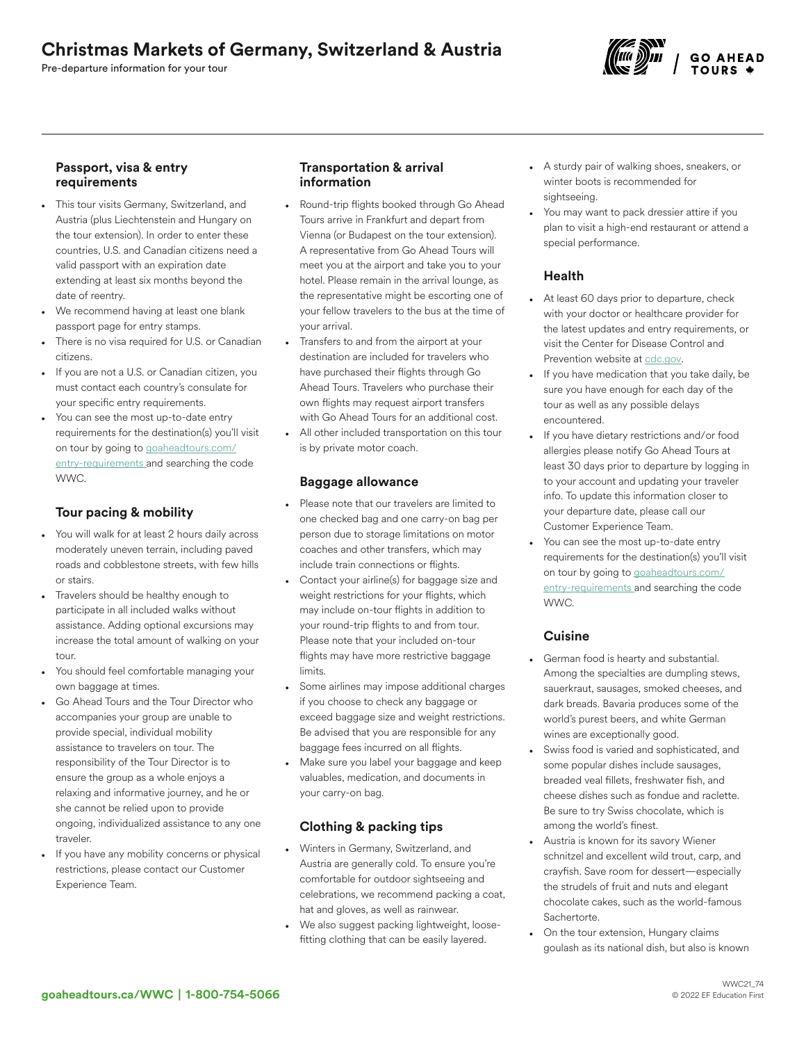# Christmas Markets of Germany, Switzerland & Austria

Pre-departure information for your tour



#### Passport, visa & entry requirements

- This tour visits Germany, Switzerland, and Austria (plus Liechtenstein and Hungary on the tour extension). In order to enter these countries, U.S. and Canadian citizens need a valid passport with an expiration date extending at least six months beyond the date of reentry.
- We recommend having at least one blank passport page for entry stamps.
- There is no visa required for U.S. or Canadian citizens.
- If you are not a U.S. or Canadian citizen, you must contact each country's consulate for your specific entry requirements.
- You can see the most up-to-date entry requirements for the destination(s) you'll visit on tour by going to [goaheadtours.com/](/entry-requirements?tourCode=WWC) [entry-requirements](/entry-requirements?tourCode=WWC) and searching the code WWC.

# Tour pacing & mobility

- You will walk for at least 2 hours daily across moderately uneven terrain, including paved roads and cobblestone streets, with few hills or stairs.
- Travelers should be healthy enough to participate in all included walks without assistance. Adding optional excursions may increase the total amount of walking on your tour.
- You should feel comfortable managing your own baggage at times.
- Go Ahead Tours and the Tour Director who accompanies your group are unable to provide special, individual mobility assistance to travelers on tour. The responsibility of the Tour Director is to ensure the group as a whole enjoys a relaxing and informative journey, and he or she cannot be relied upon to provide ongoing, individualized assistance to any one traveler.
- If you have any mobility concerns or physical restrictions, please contact our Customer Experience Team.

## Transportation & arrival information

- Round-trip flights booked through Go Ahead Tours arrive in Frankfurt and depart from Vienna (or Budapest on the tour extension). A representative from Go Ahead Tours will meet you at the airport and take you to your hotel. Please remain in the arrival lounge, as the representative might be escorting one of your fellow travelers to the bus at the time of your arrival.
- Transfers to and from the airport at your destination are included for travelers who have purchased their flights through Go Ahead Tours. Travelers who purchase their own flights may request airport transfers with Go Ahead Tours for an additional cost.
- All other included transportation on this tour is by private motor coach.

#### Baggage allowance

- Please note that our travelers are limited to one checked bag and one carry-on bag per person due to storage limitations on motor coaches and other transfers, which may include train connections or flights.
- Contact your airline(s) for baggage size and weight restrictions for your flights, which may include on-tour flights in addition to your round-trip flights to and from tour. Please note that your included on-tour flights may have more restrictive baggage limits.
- Some airlines may impose additional charges if you choose to check any baggage or exceed baggage size and weight restrictions. Be advised that you are responsible for any baggage fees incurred on all flights.
- Make sure you label your baggage and keep valuables, medication, and documents in your carry-on bag.

# Clothing & packing tips

- Winters in Germany, Switzerland, and Austria are generally cold. To ensure you're comfortable for outdoor sightseeing and celebrations, we recommend packing a coat, hat and gloves, as well as rainwear.
- We also suggest packing lightweight, loosefitting clothing that can be easily layered.
- A sturdy pair of walking shoes, sneakers, or winter boots is recommended for sightseeing.
- You may want to pack dressier attire if you plan to visit a high-end restaurant or attend a special performance.

## Health

- At least 60 days prior to departure, check with your doctor or healthcare provider for the latest updates and entry requirements, or visit the Center for Disease Control and Prevention website at [cdc.gov.](https://www/cdc.gov)
- If you have medication that you take daily, be sure you have enough for each day of the tour as well as any possible delays encountered.
- If you have dietary restrictions and/or food allergies please notify Go Ahead Tours at least 30 days prior to departure by logging in to your account and updating your traveler info. To update this information closer to your departure date, please call our Customer Experience Team.
- You can see the most up-to-date entry requirements for the destination(s) you'll visit on tour by going to [goaheadtours.com/](/entry-requirements?tourCode=WWC) [entry-requirements](/entry-requirements?tourCode=WWC) and searching the code WWC.

## Cuisine

- German food is hearty and substantial. Among the specialties are dumpling stews, sauerkraut, sausages, smoked cheeses, and dark breads. Bavaria produces some of the world's purest beers, and white German wines are exceptionally good.
- Swiss food is varied and sophisticated, and some popular dishes include sausages, breaded veal fillets, freshwater fish, and cheese dishes such as fondue and raclette. Be sure to try Swiss chocolate, which is among the world's finest.
- Austria is known for its savory Wiener schnitzel and excellent wild trout, carp, and crayfish. Save room for dessert—especially the strudels of fruit and nuts and elegant chocolate cakes, such as the world-famous Sachertorte.
- On the tour extension, Hungary claims goulash as its national dish, but also is known